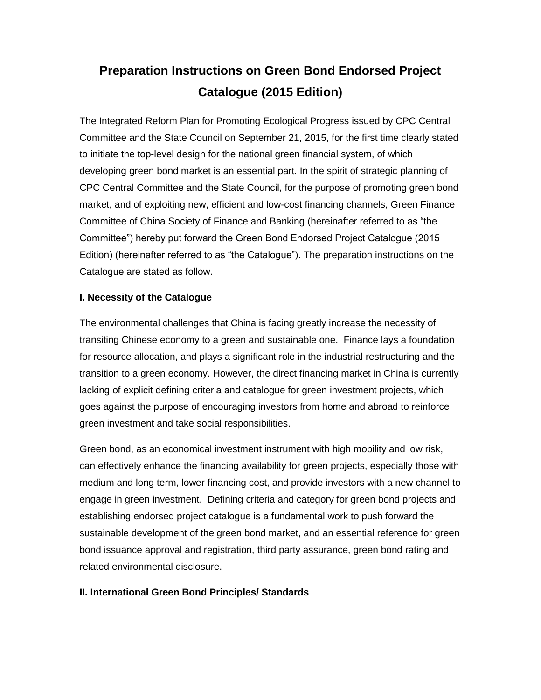# **Preparation Instructions on Green Bond Endorsed Project Catalogue (2015 Edition)**

The Integrated Reform Plan for Promoting Ecological Progress issued by CPC Central Committee and the State Council on September 21, 2015, for the first time clearly stated to initiate the top-level design for the national green financial system, of which developing green bond market is an essential part. In the spirit of strategic planning of CPC Central Committee and the State Council, for the purpose of promoting green bond market, and of exploiting new, efficient and low-cost financing channels, Green Finance Committee of China Society of Finance and Banking (hereinafter referred to as "the Committee") hereby put forward the Green Bond Endorsed Project Catalogue (2015 Edition) (hereinafter referred to as "the Catalogue"). The preparation instructions on the Catalogue are stated as follow.

## **I. Necessity of the Catalogue**

The environmental challenges that China is facing greatly increase the necessity of transiting Chinese economy to a green and sustainable one. Finance lays a foundation for resource allocation, and plays a significant role in the industrial restructuring and the transition to a green economy. However, the direct financing market in China is currently lacking of explicit defining criteria and catalogue for green investment projects, which goes against the purpose of encouraging investors from home and abroad to reinforce green investment and take social responsibilities.

Green bond, as an economical investment instrument with high mobility and low risk, can effectively enhance the financing availability for green projects, especially those with medium and long term, lower financing cost, and provide investors with a new channel to engage in green investment. Defining criteria and category for green bond projects and establishing endorsed project catalogue is a fundamental work to push forward the sustainable development of the green bond market, and an essential reference for green bond issuance approval and registration, third party assurance, green bond rating and related environmental disclosure.

## **II. International Green Bond Principles/ Standards**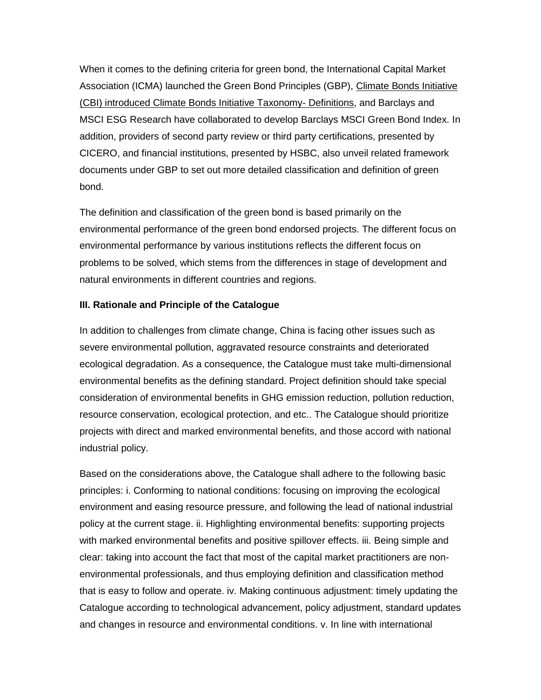When it comes to the defining criteria for green bond, the International Capital Market Association (ICMA) launched the Green Bond Principles (GBP), Climate Bonds Initiative (CBI) introduced Climate Bonds Initiative Taxonomy- Definitions, and Barclays and MSCI ESG Research have collaborated to develop Barclays MSCI Green Bond Index. In addition, providers of second party review or third party certifications, presented by CICERO, and financial institutions, presented by HSBC, also unveil related framework documents under GBP to set out more detailed classification and definition of green bond.

The definition and classification of the green bond is based primarily on the environmental performance of the green bond endorsed projects. The different focus on environmental performance by various institutions reflects the different focus on problems to be solved, which stems from the differences in stage of development and natural environments in different countries and regions.

#### **III. Rationale and Principle of the Catalogue**

In addition to challenges from climate change, China is facing other issues such as severe environmental pollution, aggravated resource constraints and deteriorated ecological degradation. As a consequence, the Catalogue must take multi-dimensional environmental benefits as the defining standard. Project definition should take special consideration of environmental benefits in GHG emission reduction, pollution reduction, resource conservation, ecological protection, and etc.. The Catalogue should prioritize projects with direct and marked environmental benefits, and those accord with national industrial policy.

Based on the considerations above, the Catalogue shall adhere to the following basic principles: i. Conforming to national conditions: focusing on improving the ecological environment and easing resource pressure, and following the lead of national industrial policy at the current stage. ii. Highlighting environmental benefits: supporting projects with marked environmental benefits and positive spillover effects. iii. Being simple and clear: taking into account the fact that most of the capital market practitioners are nonenvironmental professionals, and thus employing definition and classification method that is easy to follow and operate. iv. Making continuous adjustment: timely updating the Catalogue according to technological advancement, policy adjustment, standard updates and changes in resource and environmental conditions. v. In line with international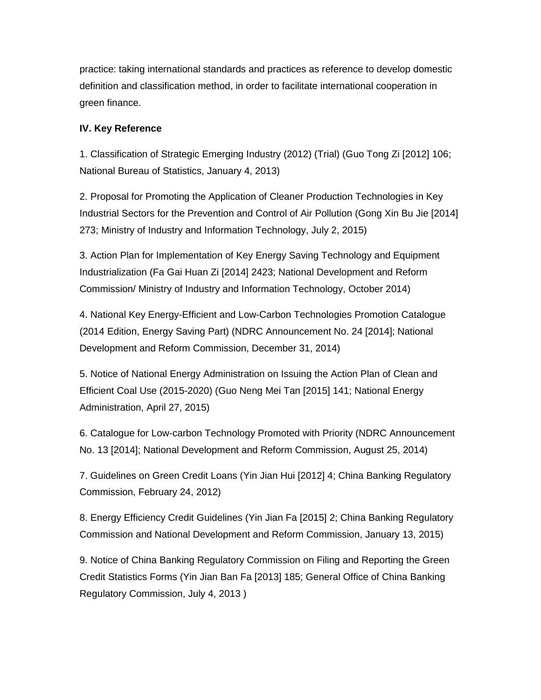practice: taking international standards and practices as reference to develop domestic definition and classification method, in order to facilitate international cooperation in green finance.

#### **IV. Key Reference**

1. Classification of Strategic Emerging Industry (2012) (Trial) (Guo Tong Zi [2012] 106; National Bureau of Statistics, January 4, 2013)

2. Proposal for Promoting the Application of Cleaner Production Technologies in Key Industrial Sectors for the Prevention and Control of Air Pollution (Gong Xin Bu Jie [2014] 273; Ministry of Industry and Information Technology, July 2, 2015)

3. Action Plan for Implementation of Key Energy Saving Technology and Equipment Industrialization (Fa Gai Huan Zi [2014] 2423; National Development and Reform Commission/ Ministry of Industry and Information Technology, October 2014)

4. National Key Energy-Efficient and Low-Carbon Technologies Promotion Catalogue (2014 Edition, Energy Saving Part) (NDRC Announcement No. 24 [2014]; National Development and Reform Commission, December 31, 2014)

5. Notice of National Energy Administration on Issuing the Action Plan of Clean and Efficient Coal Use (2015-2020) (Guo Neng Mei Tan [2015] 141; National Energy Administration, April 27, 2015)

6. Catalogue for Low-carbon Technology Promoted with Priority (NDRC Announcement No. 13 [2014]; National Development and Reform Commission, August 25, 2014)

7. Guidelines on Green Credit Loans (Yin Jian Hui [2012] 4; China Banking Regulatory Commission, February 24, 2012)

8. Energy Efficiency Credit Guidelines (Yin Jian Fa [2015] 2; China Banking Regulatory Commission and National Development and Reform Commission, January 13, 2015)

9. Notice of China Banking Regulatory Commission on Filing and Reporting the Green Credit Statistics Forms (Yin Jian Ban Fa [2013] 185; General Office of China Banking Regulatory Commission, July 4, 2013 )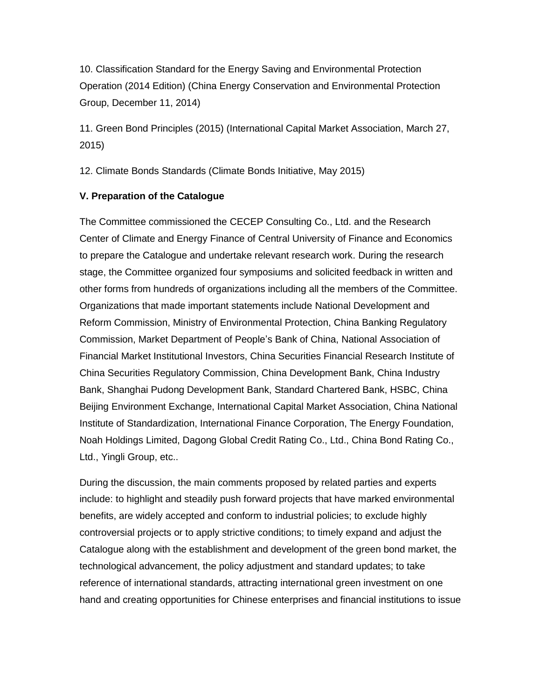10. Classification Standard for the Energy Saving and Environmental Protection Operation (2014 Edition) (China Energy Conservation and Environmental Protection Group, December 11, 2014)

11. Green Bond Principles (2015) (International Capital Market Association, March 27, 2015)

12. Climate Bonds Standards (Climate Bonds Initiative, May 2015)

#### **V. Preparation of the Catalogue**

The Committee commissioned the CECEP Consulting Co., Ltd. and the Research Center of Climate and Energy Finance of Central University of Finance and Economics to prepare the Catalogue and undertake relevant research work. During the research stage, the Committee organized four symposiums and solicited feedback in written and other forms from hundreds of organizations including all the members of the Committee. Organizations that made important statements include National Development and Reform Commission, Ministry of Environmental Protection, China Banking Regulatory Commission, Market Department of People's Bank of China, National Association of Financial Market Institutional Investors, China Securities Financial Research Institute of China Securities Regulatory Commission, China Development Bank, China Industry Bank, Shanghai Pudong Development Bank, Standard Chartered Bank, HSBC, China Beijing Environment Exchange, International Capital Market Association, China National Institute of Standardization, International Finance Corporation, The Energy Foundation, Noah Holdings Limited, Dagong Global Credit Rating Co., Ltd., China Bond Rating Co., Ltd., Yingli Group, etc..

During the discussion, the main comments proposed by related parties and experts include: to highlight and steadily push forward projects that have marked environmental benefits, are widely accepted and conform to industrial policies; to exclude highly controversial projects or to apply strictive conditions; to timely expand and adjust the Catalogue along with the establishment and development of the green bond market, the technological advancement, the policy adjustment and standard updates; to take reference of international standards, attracting international green investment on one hand and creating opportunities for Chinese enterprises and financial institutions to issue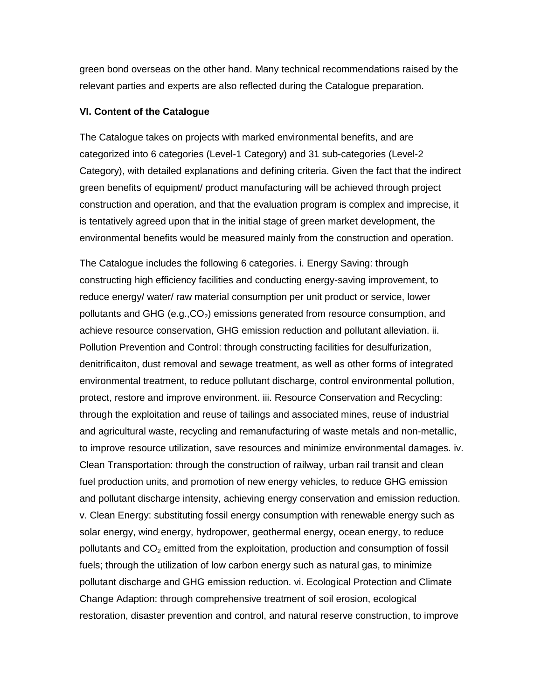green bond overseas on the other hand. Many technical recommendations raised by the relevant parties and experts are also reflected during the Catalogue preparation.

#### **VI. Content of the Catalogue**

The Catalogue takes on projects with marked environmental benefits, and are categorized into 6 categories (Level-1 Category) and 31 sub-categories (Level-2 Category), with detailed explanations and defining criteria. Given the fact that the indirect green benefits of equipment/ product manufacturing will be achieved through project construction and operation, and that the evaluation program is complex and imprecise, it is tentatively agreed upon that in the initial stage of green market development, the environmental benefits would be measured mainly from the construction and operation.

The Catalogue includes the following 6 categories. i. Energy Saving: through constructing high efficiency facilities and conducting energy-saving improvement, to reduce energy/ water/ raw material consumption per unit product or service, lower pollutants and GHG (e.g., $CO<sub>2</sub>$ ) emissions generated from resource consumption, and achieve resource conservation, GHG emission reduction and pollutant alleviation. ii. Pollution Prevention and Control: through constructing facilities for desulfurization, denitrificaiton, dust removal and sewage treatment, as well as other forms of integrated environmental treatment, to reduce pollutant discharge, control environmental pollution, protect, restore and improve environment. iii. Resource Conservation and Recycling: through the exploitation and reuse of tailings and associated mines, reuse of industrial and agricultural waste, recycling and remanufacturing of waste metals and non-metallic, to improve resource utilization, save resources and minimize environmental damages. iv. Clean Transportation: through the construction of railway, urban rail transit and clean fuel production units, and promotion of new energy vehicles, to reduce GHG emission and pollutant discharge intensity, achieving energy conservation and emission reduction. v. Clean Energy: substituting fossil energy consumption with renewable energy such as solar energy, wind energy, hydropower, geothermal energy, ocean energy, to reduce pollutants and  $CO<sub>2</sub>$  emitted from the exploitation, production and consumption of fossil fuels; through the utilization of low carbon energy such as natural gas, to minimize pollutant discharge and GHG emission reduction. vi. Ecological Protection and Climate Change Adaption: through comprehensive treatment of soil erosion, ecological restoration, disaster prevention and control, and natural reserve construction, to improve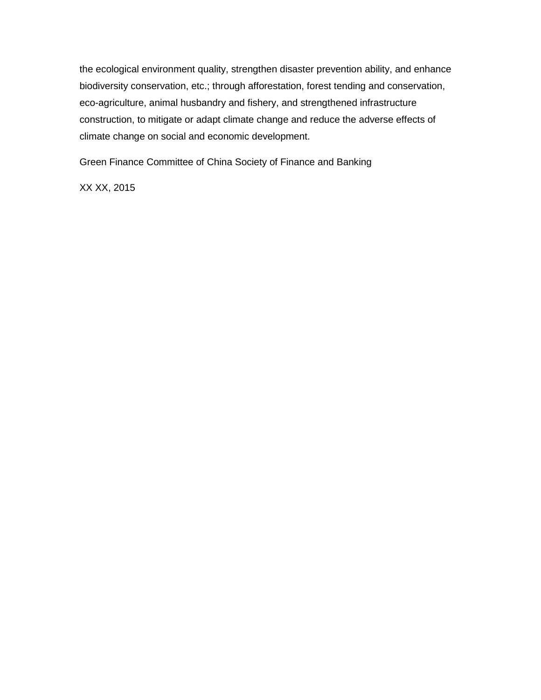the ecological environment quality, strengthen disaster prevention ability, and enhance biodiversity conservation, etc.; through afforestation, forest tending and conservation, eco-agriculture, animal husbandry and fishery, and strengthened infrastructure construction, to mitigate or adapt climate change and reduce the adverse effects of climate change on social and economic development.

Green Finance Committee of China Society of Finance and Banking

XX XX, 2015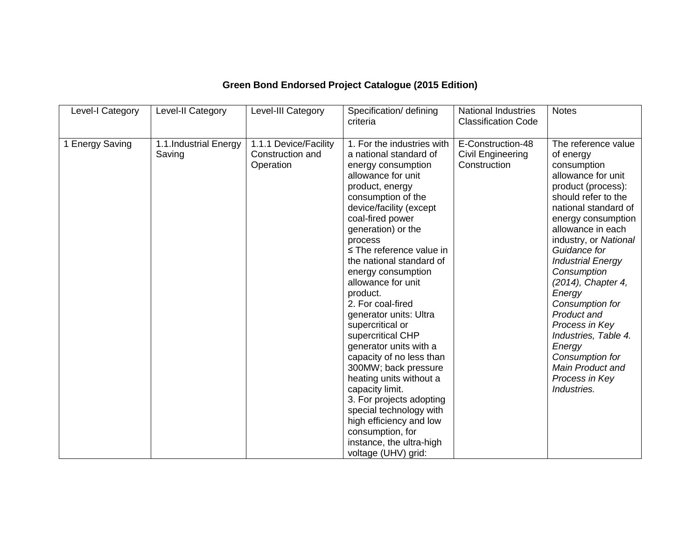| Level-I Category | Level-II Category               | Level-III Category                                     | Specification/ defining<br>criteria                                                                                                                                                                                                                                                                                                                                                                                                                                                                                                                                                                                                                                                                                        | <b>National Industries</b><br><b>Classification Code</b> | <b>Notes</b>                                                                                                                                                                                                                                                                                                                                                                                                                                                                   |
|------------------|---------------------------------|--------------------------------------------------------|----------------------------------------------------------------------------------------------------------------------------------------------------------------------------------------------------------------------------------------------------------------------------------------------------------------------------------------------------------------------------------------------------------------------------------------------------------------------------------------------------------------------------------------------------------------------------------------------------------------------------------------------------------------------------------------------------------------------------|----------------------------------------------------------|--------------------------------------------------------------------------------------------------------------------------------------------------------------------------------------------------------------------------------------------------------------------------------------------------------------------------------------------------------------------------------------------------------------------------------------------------------------------------------|
| 1 Energy Saving  | 1.1.Industrial Energy<br>Saving | 1.1.1 Device/Facility<br>Construction and<br>Operation | 1. For the industries with<br>a national standard of<br>energy consumption<br>allowance for unit<br>product, energy<br>consumption of the<br>device/facility (except<br>coal-fired power<br>generation) or the<br>process<br>$\le$ The reference value in<br>the national standard of<br>energy consumption<br>allowance for unit<br>product.<br>2. For coal-fired<br>generator units: Ultra<br>supercritical or<br>supercritical CHP<br>generator units with a<br>capacity of no less than<br>300MW; back pressure<br>heating units without a<br>capacity limit.<br>3. For projects adopting<br>special technology with<br>high efficiency and low<br>consumption, for<br>instance, the ultra-high<br>voltage (UHV) grid: | E-Construction-48<br>Civil Engineering<br>Construction   | The reference value<br>of energy<br>consumption<br>allowance for unit<br>product (process):<br>should refer to the<br>national standard of<br>energy consumption<br>allowance in each<br>industry, or National<br>Guidance for<br><b>Industrial Energy</b><br>Consumption<br>(2014), Chapter 4,<br>Energy<br>Consumption for<br>Product and<br>Process in Key<br>Industries, Table 4.<br>Energy<br>Consumption for<br><b>Main Product and</b><br>Process in Key<br>Industries. |

# **Green Bond Endorsed Project Catalogue (2015 Edition)**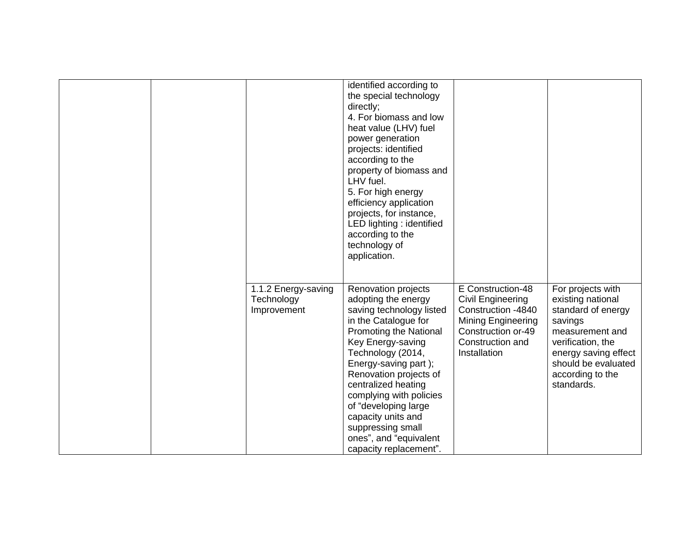|                                                  | identified according to<br>the special technology<br>directly;<br>4. For biomass and low<br>heat value (LHV) fuel<br>power generation<br>projects: identified<br>according to the<br>property of biomass and<br>LHV fuel.<br>5. For high energy<br>efficiency application<br>projects, for instance,<br>LED lighting : identified<br>according to the<br>technology of<br>application.        |                                                                                                                                                     |                                                                                                                                                                                                  |
|--------------------------------------------------|-----------------------------------------------------------------------------------------------------------------------------------------------------------------------------------------------------------------------------------------------------------------------------------------------------------------------------------------------------------------------------------------------|-----------------------------------------------------------------------------------------------------------------------------------------------------|--------------------------------------------------------------------------------------------------------------------------------------------------------------------------------------------------|
| 1.1.2 Energy-saving<br>Technology<br>Improvement | Renovation projects<br>adopting the energy<br>saving technology listed<br>in the Catalogue for<br>Promoting the National<br>Key Energy-saving<br>Technology (2014,<br>Energy-saving part);<br>Renovation projects of<br>centralized heating<br>complying with policies<br>of "developing large<br>capacity units and<br>suppressing small<br>ones", and "equivalent<br>capacity replacement". | E Construction-48<br>Civil Engineering<br>Construction -4840<br><b>Mining Engineering</b><br>Construction or-49<br>Construction and<br>Installation | For projects with<br>existing national<br>standard of energy<br>savings<br>measurement and<br>verification, the<br>energy saving effect<br>should be evaluated<br>according to the<br>standards. |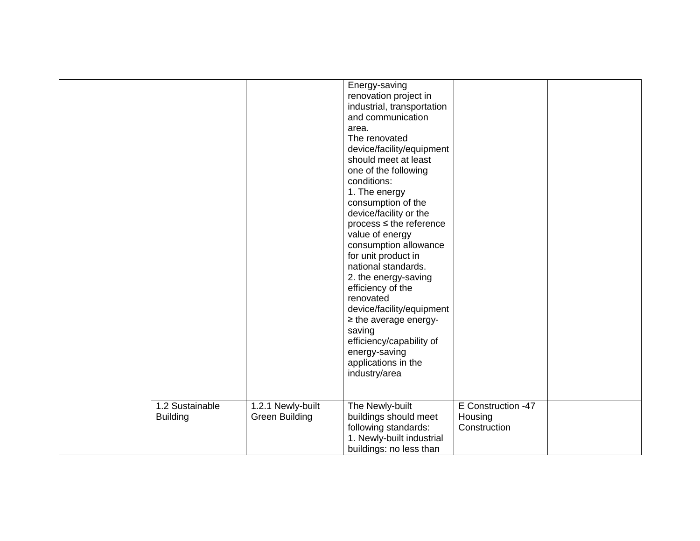|                                    |                                            | Energy-saving<br>renovation project in<br>industrial, transportation<br>and communication<br>area.<br>The renovated<br>device/facility/equipment<br>should meet at least<br>one of the following<br>conditions:<br>1. The energy<br>consumption of the<br>device/facility or the<br>$process \leq the reference$<br>value of energy<br>consumption allowance<br>for unit product in<br>national standards.<br>2. the energy-saving<br>efficiency of the<br>renovated<br>device/facility/equipment<br>$\geq$ the average energy-<br>saving<br>efficiency/capability of<br>energy-saving<br>applications in the<br>industry/area |                                               |  |
|------------------------------------|--------------------------------------------|--------------------------------------------------------------------------------------------------------------------------------------------------------------------------------------------------------------------------------------------------------------------------------------------------------------------------------------------------------------------------------------------------------------------------------------------------------------------------------------------------------------------------------------------------------------------------------------------------------------------------------|-----------------------------------------------|--|
| 1.2 Sustainable<br><b>Building</b> | 1.2.1 Newly-built<br><b>Green Building</b> | The Newly-built<br>buildings should meet<br>following standards:<br>1. Newly-built industrial<br>buildings: no less than                                                                                                                                                                                                                                                                                                                                                                                                                                                                                                       | E Construction -47<br>Housing<br>Construction |  |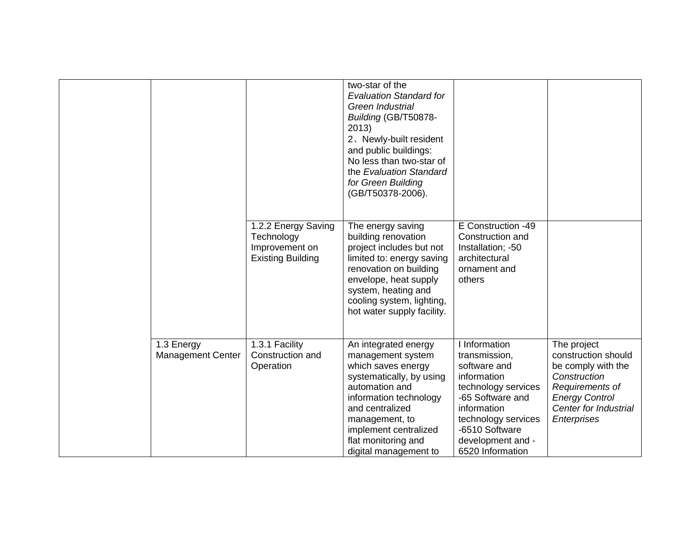|                                 |                                                                                 | two-star of the<br><b>Evaluation Standard for</b><br>Green Industrial<br>Building (GB/T50878-<br>2013)<br>2. Newly-built resident<br>and public buildings:<br>No less than two-star of<br>the Evaluation Standard<br>for Green Building<br>(GB/T50378-2006). |                                                                                                                                                                                                           |                                                                                                                                                              |
|---------------------------------|---------------------------------------------------------------------------------|--------------------------------------------------------------------------------------------------------------------------------------------------------------------------------------------------------------------------------------------------------------|-----------------------------------------------------------------------------------------------------------------------------------------------------------------------------------------------------------|--------------------------------------------------------------------------------------------------------------------------------------------------------------|
|                                 | 1.2.2 Energy Saving<br>Technology<br>Improvement on<br><b>Existing Building</b> | The energy saving<br>building renovation<br>project includes but not<br>limited to: energy saving<br>renovation on building<br>envelope, heat supply<br>system, heating and<br>cooling system, lighting,<br>hot water supply facility.                       | E Construction -49<br>Construction and<br>Installation; -50<br>architectural<br>ornament and<br>others                                                                                                    |                                                                                                                                                              |
| 1.3 Energy<br>Management Center | 1.3.1 Facility<br>Construction and<br>Operation                                 | An integrated energy<br>management system<br>which saves energy<br>systematically, by using<br>automation and<br>information technology<br>and centralized<br>management, to<br>implement centralized<br>flat monitoring and<br>digital management to        | I Information<br>transmission,<br>software and<br>information<br>technology services<br>-65 Software and<br>information<br>technology services<br>-6510 Software<br>development and -<br>6520 Information | The project<br>construction should<br>be comply with the<br>Construction<br>Requirements of<br><b>Energy Control</b><br>Center for Industrial<br>Enterprises |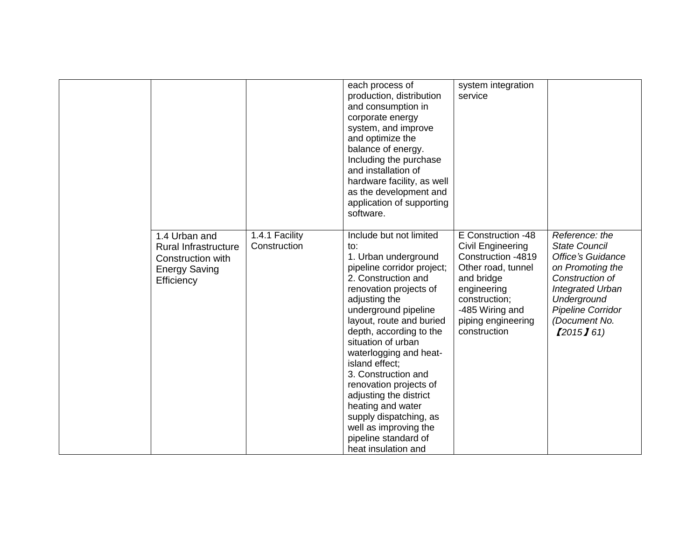|                                                                                                  |                                | each process of<br>production, distribution<br>and consumption in<br>corporate energy<br>system, and improve<br>and optimize the<br>balance of energy.<br>Including the purchase<br>and installation of<br>hardware facility, as well<br>as the development and<br>application of supporting<br>software.                                                                                                                                                                                                 | system integration<br>service                                                                                                                                                              |                                                                                                                                                                                                         |
|--------------------------------------------------------------------------------------------------|--------------------------------|-----------------------------------------------------------------------------------------------------------------------------------------------------------------------------------------------------------------------------------------------------------------------------------------------------------------------------------------------------------------------------------------------------------------------------------------------------------------------------------------------------------|--------------------------------------------------------------------------------------------------------------------------------------------------------------------------------------------|---------------------------------------------------------------------------------------------------------------------------------------------------------------------------------------------------------|
| 1.4 Urban and<br>Rural Infrastructure<br>Construction with<br><b>Energy Saving</b><br>Efficiency | 1.4.1 Facility<br>Construction | Include but not limited<br>to:<br>1. Urban underground<br>pipeline corridor project;<br>2. Construction and<br>renovation projects of<br>adjusting the<br>underground pipeline<br>layout, route and buried<br>depth, according to the<br>situation of urban<br>waterlogging and heat-<br>island effect;<br>3. Construction and<br>renovation projects of<br>adjusting the district<br>heating and water<br>supply dispatching, as<br>well as improving the<br>pipeline standard of<br>heat insulation and | E Construction -48<br>Civil Engineering<br>Construction -4819<br>Other road, tunnel<br>and bridge<br>engineering<br>construction;<br>-485 Wiring and<br>piping engineering<br>construction | Reference: the<br><b>State Council</b><br><b>Office's Guidance</b><br>on Promoting the<br>Construction of<br><b>Integrated Urban</b><br>Underground<br>Pipeline Corridor<br>(Document No.<br>[2015] 61] |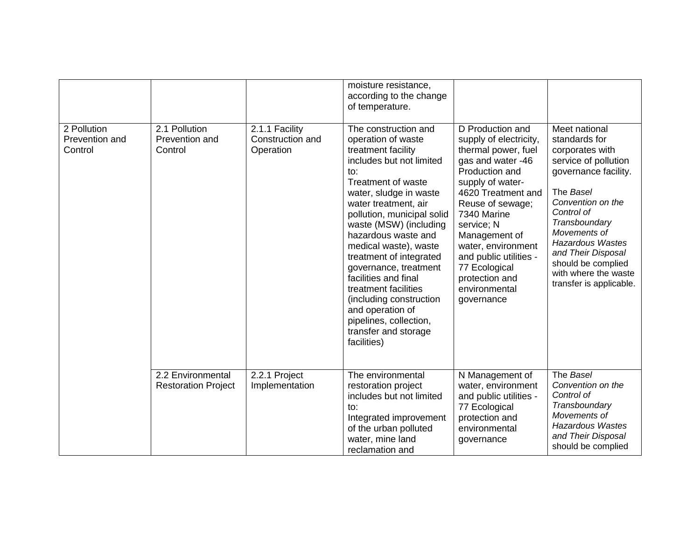|                                          |                                                 |                                                 | moisture resistance,<br>according to the change<br>of temperature.                                                                                                                                                                                                                                                                                                                                                                                                                                       |                                                                                                                                                                                                                                                                                                                                        |                                                                                                                                                                                                                                                                                                              |
|------------------------------------------|-------------------------------------------------|-------------------------------------------------|----------------------------------------------------------------------------------------------------------------------------------------------------------------------------------------------------------------------------------------------------------------------------------------------------------------------------------------------------------------------------------------------------------------------------------------------------------------------------------------------------------|----------------------------------------------------------------------------------------------------------------------------------------------------------------------------------------------------------------------------------------------------------------------------------------------------------------------------------------|--------------------------------------------------------------------------------------------------------------------------------------------------------------------------------------------------------------------------------------------------------------------------------------------------------------|
| 2 Pollution<br>Prevention and<br>Control | 2.1 Pollution<br>Prevention and<br>Control      | 2.1.1 Facility<br>Construction and<br>Operation | The construction and<br>operation of waste<br>treatment facility<br>includes but not limited<br>to:<br>Treatment of waste<br>water, sludge in waste<br>water treatment, air<br>pollution, municipal solid<br>waste (MSW) (including<br>hazardous waste and<br>medical waste), waste<br>treatment of integrated<br>governance, treatment<br>facilities and final<br>treatment facilities<br>(including construction)<br>and operation of<br>pipelines, collection,<br>transfer and storage<br>facilities) | D Production and<br>supply of electricity,<br>thermal power, fuel<br>gas and water -46<br>Production and<br>supply of water-<br>4620 Treatment and<br>Reuse of sewage;<br>7340 Marine<br>service; N<br>Management of<br>water, environment<br>and public utilities -<br>77 Ecological<br>protection and<br>environmental<br>governance | Meet national<br>standards for<br>corporates with<br>service of pollution<br>governance facility.<br>The Basel<br>Convention on the<br>Control of<br>Transboundary<br>Movements of<br><b>Hazardous Wastes</b><br>and Their Disposal<br>should be complied<br>with where the waste<br>transfer is applicable. |
|                                          | 2.2 Environmental<br><b>Restoration Project</b> | 2.2.1 Project<br>Implementation                 | The environmental<br>restoration project<br>includes but not limited<br>to:<br>Integrated improvement<br>of the urban polluted<br>water, mine land<br>reclamation and                                                                                                                                                                                                                                                                                                                                    | N Management of<br>water, environment<br>and public utilities -<br>77 Ecological<br>protection and<br>environmental<br>governance                                                                                                                                                                                                      | The Basel<br>Convention on the<br>Control of<br>Transboundary<br>Movements of<br><b>Hazardous Wastes</b><br>and Their Disposal<br>should be complied                                                                                                                                                         |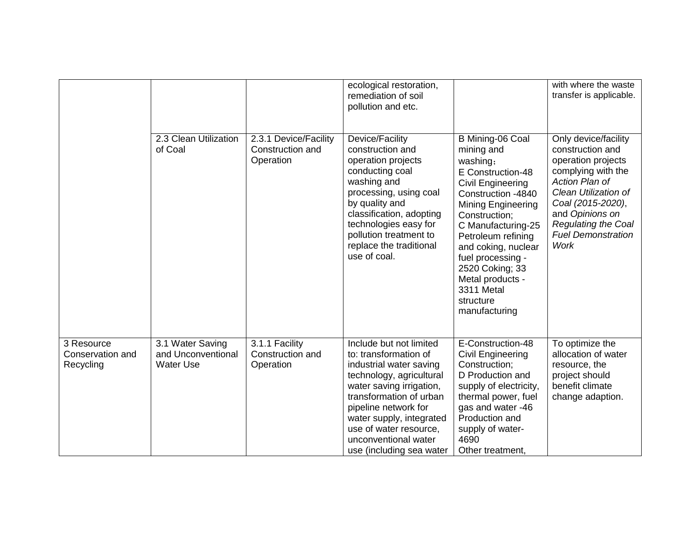|                                             |                                                            |                                                        | ecological restoration,<br>remediation of soil<br>pollution and etc.                                                                                                                                                                                                                             |                                                                                                                                                                                                                                                                                                                                     | with where the waste<br>transfer is applicable.                                                                                                                                                                                                  |
|---------------------------------------------|------------------------------------------------------------|--------------------------------------------------------|--------------------------------------------------------------------------------------------------------------------------------------------------------------------------------------------------------------------------------------------------------------------------------------------------|-------------------------------------------------------------------------------------------------------------------------------------------------------------------------------------------------------------------------------------------------------------------------------------------------------------------------------------|--------------------------------------------------------------------------------------------------------------------------------------------------------------------------------------------------------------------------------------------------|
|                                             | 2.3 Clean Utilization<br>of Coal                           | 2.3.1 Device/Facility<br>Construction and<br>Operation | Device/Facility<br>construction and<br>operation projects<br>conducting coal<br>washing and<br>processing, using coal<br>by quality and<br>classification, adopting<br>technologies easy for<br>pollution treatment to<br>replace the traditional<br>use of coal.                                | B Mining-06 Coal<br>mining and<br>washing;<br>E Construction-48<br>Civil Engineering<br>Construction -4840<br><b>Mining Engineering</b><br>Construction;<br>C Manufacturing-25<br>Petroleum refining<br>and coking, nuclear<br>fuel processing -<br>2520 Coking; 33<br>Metal products -<br>3311 Metal<br>structure<br>manufacturing | Only device/facility<br>construction and<br>operation projects<br>complying with the<br>Action Plan of<br>Clean Utilization of<br>Coal (2015-2020),<br>and Opinions on<br><b>Regulating the Coal</b><br><b>Fuel Demonstration</b><br><b>Work</b> |
| 3 Resource<br>Conservation and<br>Recycling | 3.1 Water Saving<br>and Unconventional<br><b>Water Use</b> | 3.1.1 Facility<br>Construction and<br>Operation        | Include but not limited<br>to: transformation of<br>industrial water saving<br>technology, agricultural<br>water saving irrigation,<br>transformation of urban<br>pipeline network for<br>water supply, integrated<br>use of water resource,<br>unconventional water<br>use (including sea water | E-Construction-48<br>Civil Engineering<br>Construction;<br>D Production and<br>supply of electricity,<br>thermal power, fuel<br>gas and water -46<br>Production and<br>supply of water-<br>4690<br>Other treatment,                                                                                                                 | To optimize the<br>allocation of water<br>resource, the<br>project should<br>benefit climate<br>change adaption.                                                                                                                                 |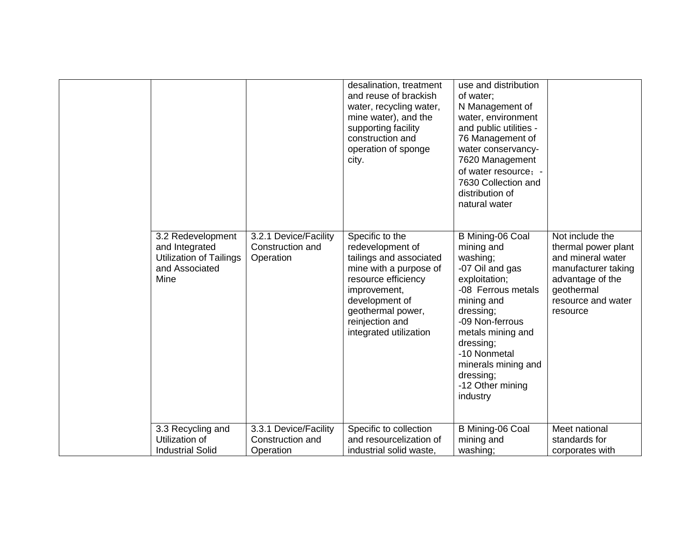|                                                                                                 |                                                        | desalination, treatment<br>and reuse of brackish<br>water, recycling water,<br>mine water), and the<br>supporting facility<br>construction and<br>operation of sponge<br>city.                                      | use and distribution<br>of water:<br>N Management of<br>water, environment<br>and public utilities -<br>76 Management of<br>water conservancy-<br>7620 Management<br>of water resource; -<br>7630 Collection and<br>distribution of<br>natural water                     |                                                                                                                                                        |
|-------------------------------------------------------------------------------------------------|--------------------------------------------------------|---------------------------------------------------------------------------------------------------------------------------------------------------------------------------------------------------------------------|--------------------------------------------------------------------------------------------------------------------------------------------------------------------------------------------------------------------------------------------------------------------------|--------------------------------------------------------------------------------------------------------------------------------------------------------|
| 3.2 Redevelopment<br>and Integrated<br><b>Utilization of Tailings</b><br>and Associated<br>Mine | 3.2.1 Device/Facility<br>Construction and<br>Operation | Specific to the<br>redevelopment of<br>tailings and associated<br>mine with a purpose of<br>resource efficiency<br>improvement,<br>development of<br>geothermal power,<br>reinjection and<br>integrated utilization | B Mining-06 Coal<br>mining and<br>washing;<br>-07 Oil and gas<br>exploitation;<br>-08 Ferrous metals<br>mining and<br>dressing;<br>-09 Non-ferrous<br>metals mining and<br>dressing;<br>-10 Nonmetal<br>minerals mining and<br>dressing;<br>-12 Other mining<br>industry | Not include the<br>thermal power plant<br>and mineral water<br>manufacturer taking<br>advantage of the<br>geothermal<br>resource and water<br>resource |
| 3.3 Recycling and<br>Utilization of<br><b>Industrial Solid</b>                                  | 3.3.1 Device/Facility<br>Construction and<br>Operation | Specific to collection<br>and resourcelization of<br>industrial solid waste,                                                                                                                                        | B Mining-06 Coal<br>mining and<br>washing;                                                                                                                                                                                                                               | Meet national<br>standards for<br>corporates with                                                                                                      |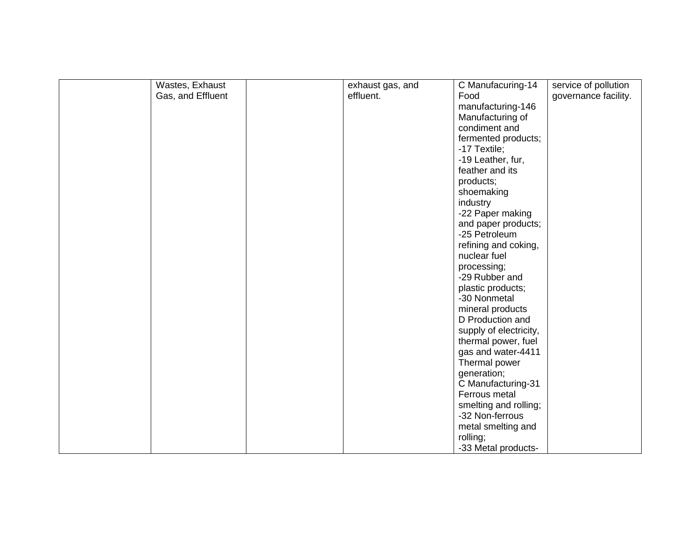| Wastes, Exhaust   | exhaust gas, and | C Manufacuring-14      | service of pollution |
|-------------------|------------------|------------------------|----------------------|
| Gas, and Effluent | effluent.        | Food                   | governance facility. |
|                   |                  | manufacturing-146      |                      |
|                   |                  | Manufacturing of       |                      |
|                   |                  | condiment and          |                      |
|                   |                  | fermented products;    |                      |
|                   |                  | -17 Textile;           |                      |
|                   |                  | -19 Leather, fur,      |                      |
|                   |                  | feather and its        |                      |
|                   |                  | products;              |                      |
|                   |                  | shoemaking             |                      |
|                   |                  | industry               |                      |
|                   |                  | -22 Paper making       |                      |
|                   |                  | and paper products;    |                      |
|                   |                  | -25 Petroleum          |                      |
|                   |                  | refining and coking,   |                      |
|                   |                  | nuclear fuel           |                      |
|                   |                  | processing;            |                      |
|                   |                  | -29 Rubber and         |                      |
|                   |                  | plastic products;      |                      |
|                   |                  | -30 Nonmetal           |                      |
|                   |                  | mineral products       |                      |
|                   |                  | D Production and       |                      |
|                   |                  | supply of electricity, |                      |
|                   |                  | thermal power, fuel    |                      |
|                   |                  | gas and water-4411     |                      |
|                   |                  | Thermal power          |                      |
|                   |                  | generation;            |                      |
|                   |                  | C Manufacturing-31     |                      |
|                   |                  | Ferrous metal          |                      |
|                   |                  | smelting and rolling;  |                      |
|                   |                  | -32 Non-ferrous        |                      |
|                   |                  | metal smelting and     |                      |
|                   |                  | rolling;               |                      |
|                   |                  | -33 Metal products-    |                      |
|                   |                  |                        |                      |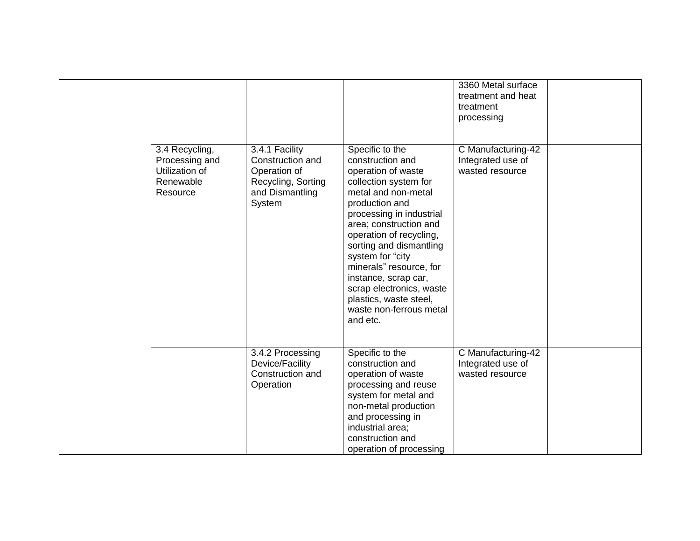|                                                                             |                                                                                                       |                                                                                                                                                                                                                                                                                                                                                                                                             | 3360 Metal surface<br>treatment and heat<br>treatment<br>processing |  |
|-----------------------------------------------------------------------------|-------------------------------------------------------------------------------------------------------|-------------------------------------------------------------------------------------------------------------------------------------------------------------------------------------------------------------------------------------------------------------------------------------------------------------------------------------------------------------------------------------------------------------|---------------------------------------------------------------------|--|
| 3.4 Recycling,<br>Processing and<br>Utilization of<br>Renewable<br>Resource | 3.4.1 Facility<br>Construction and<br>Operation of<br>Recycling, Sorting<br>and Dismantling<br>System | Specific to the<br>construction and<br>operation of waste<br>collection system for<br>metal and non-metal<br>production and<br>processing in industrial<br>area; construction and<br>operation of recycling,<br>sorting and dismantling<br>system for "city<br>minerals" resource, for<br>instance, scrap car,<br>scrap electronics, waste<br>plastics, waste steel,<br>waste non-ferrous metal<br>and etc. | C Manufacturing-42<br>Integrated use of<br>wasted resource          |  |
|                                                                             | 3.4.2 Processing<br>Device/Facility<br>Construction and<br>Operation                                  | Specific to the<br>construction and<br>operation of waste<br>processing and reuse<br>system for metal and<br>non-metal production<br>and processing in<br>industrial area;<br>construction and<br>operation of processing                                                                                                                                                                                   | C Manufacturing-42<br>Integrated use of<br>wasted resource          |  |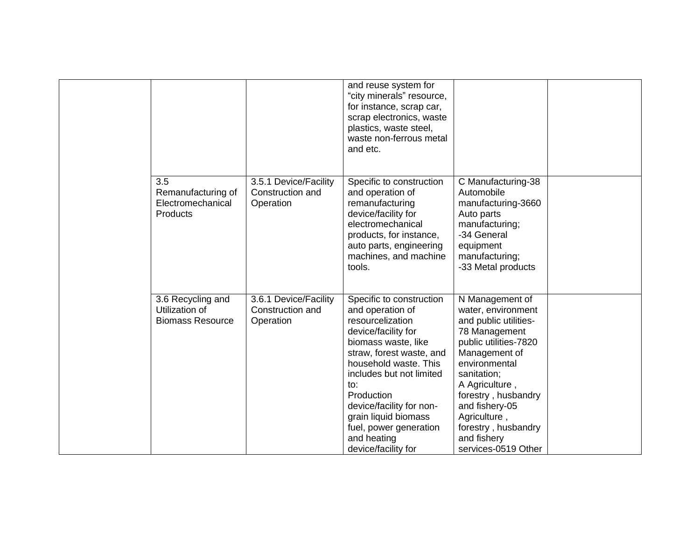|                                                                |                                                        | and reuse system for<br>"city minerals" resource,<br>for instance, scrap car,<br>scrap electronics, waste<br>plastics, waste steel,<br>waste non-ferrous metal<br>and etc.                                                                                                                                                               |                                                                                                                                                                                                                                                                                                   |  |
|----------------------------------------------------------------|--------------------------------------------------------|------------------------------------------------------------------------------------------------------------------------------------------------------------------------------------------------------------------------------------------------------------------------------------------------------------------------------------------|---------------------------------------------------------------------------------------------------------------------------------------------------------------------------------------------------------------------------------------------------------------------------------------------------|--|
| 3.5<br>Remanufacturing of<br>Electromechanical<br>Products     | 3.5.1 Device/Facility<br>Construction and<br>Operation | Specific to construction<br>and operation of<br>remanufacturing<br>device/facility for<br>electromechanical<br>products, for instance,<br>auto parts, engineering<br>machines, and machine<br>tools.                                                                                                                                     | C Manufacturing-38<br>Automobile<br>manufacturing-3660<br>Auto parts<br>manufacturing;<br>-34 General<br>equipment<br>manufacturing;<br>-33 Metal products                                                                                                                                        |  |
| 3.6 Recycling and<br>Utilization of<br><b>Biomass Resource</b> | 3.6.1 Device/Facility<br>Construction and<br>Operation | Specific to construction<br>and operation of<br>resourcelization<br>device/facility for<br>biomass waste, like<br>straw, forest waste, and<br>household waste. This<br>includes but not limited<br>to:<br>Production<br>device/facility for non-<br>grain liquid biomass<br>fuel, power generation<br>and heating<br>device/facility for | N Management of<br>water, environment<br>and public utilities-<br>78 Management<br>public utilities-7820<br>Management of<br>environmental<br>sanitation;<br>A Agriculture,<br>forestry, husbandry<br>and fishery-05<br>Agriculture,<br>forestry, husbandry<br>and fishery<br>services-0519 Other |  |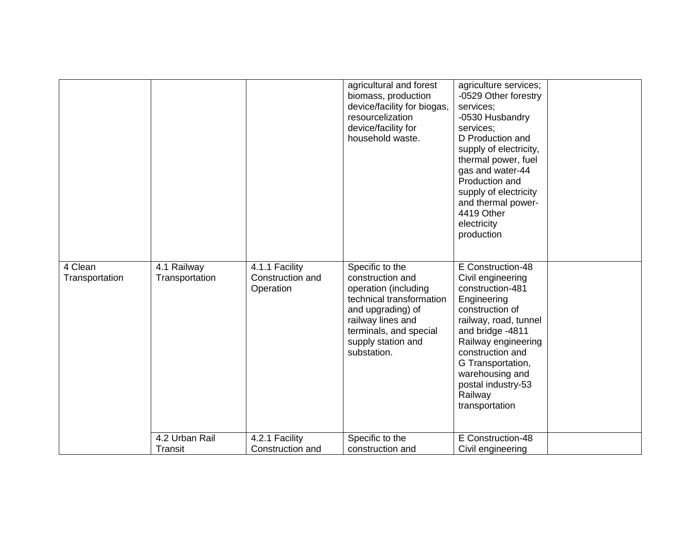|                           |                                  |                                                 | agricultural and forest<br>biomass, production<br>device/facility for biogas,<br>resourcelization<br>device/facility for<br>household waste.                                                     | agriculture services;<br>-0529 Other forestry<br>services;<br>-0530 Husbandry<br>services;<br>D Production and<br>supply of electricity,<br>thermal power, fuel<br>gas and water-44<br>Production and<br>supply of electricity<br>and thermal power-<br>4419 Other<br>electricity<br>production |  |
|---------------------------|----------------------------------|-------------------------------------------------|--------------------------------------------------------------------------------------------------------------------------------------------------------------------------------------------------|-------------------------------------------------------------------------------------------------------------------------------------------------------------------------------------------------------------------------------------------------------------------------------------------------|--|
| 4 Clean<br>Transportation | 4.1 Railway<br>Transportation    | 4.1.1 Facility<br>Construction and<br>Operation | Specific to the<br>construction and<br>operation (including<br>technical transformation<br>and upgrading) of<br>railway lines and<br>terminals, and special<br>supply station and<br>substation. | E Construction-48<br>Civil engineering<br>construction-481<br>Engineering<br>construction of<br>railway, road, tunnel<br>and bridge -4811<br>Railway engineering<br>construction and<br>G Transportation,<br>warehousing and<br>postal industry-53<br>Railway<br>transportation                 |  |
|                           | 4.2 Urban Rail<br><b>Transit</b> | 4.2.1 Facility<br>Construction and              | Specific to the<br>construction and                                                                                                                                                              | E Construction-48<br>Civil engineering                                                                                                                                                                                                                                                          |  |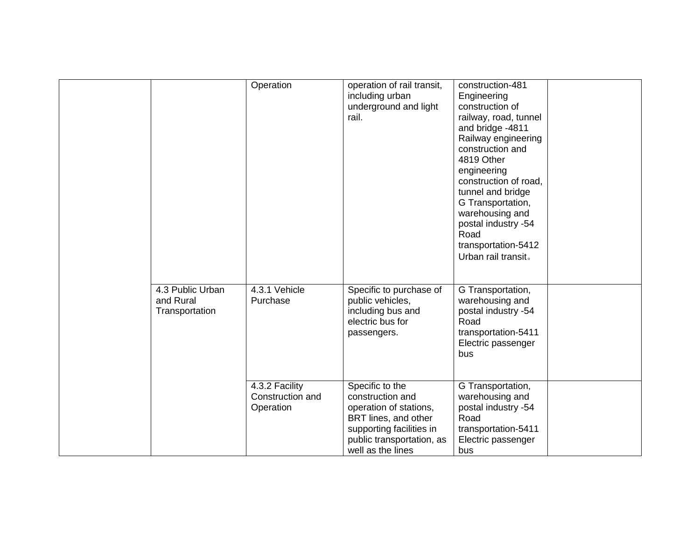|                                                 | Operation                                       | operation of rail transit,<br>including urban<br>underground and light<br>rail.                                                                                     | construction-481<br>Engineering<br>construction of<br>railway, road, tunnel<br>and bridge -4811<br>Railway engineering<br>construction and<br>4819 Other<br>engineering<br>construction of road,<br>tunnel and bridge<br>G Transportation,<br>warehousing and<br>postal industry -54<br>Road<br>transportation-5412<br>Urban rail transit. |  |
|-------------------------------------------------|-------------------------------------------------|---------------------------------------------------------------------------------------------------------------------------------------------------------------------|--------------------------------------------------------------------------------------------------------------------------------------------------------------------------------------------------------------------------------------------------------------------------------------------------------------------------------------------|--|
| 4.3 Public Urban<br>and Rural<br>Transportation | 4.3.1 Vehicle<br>Purchase                       | Specific to purchase of<br>public vehicles,<br>including bus and<br>electric bus for<br>passengers.                                                                 | G Transportation,<br>warehousing and<br>postal industry -54<br>Road<br>transportation-5411<br>Electric passenger<br>bus                                                                                                                                                                                                                    |  |
|                                                 | 4.3.2 Facility<br>Construction and<br>Operation | Specific to the<br>construction and<br>operation of stations,<br>BRT lines, and other<br>supporting facilities in<br>public transportation, as<br>well as the lines | G Transportation,<br>warehousing and<br>postal industry -54<br>Road<br>transportation-5411<br>Electric passenger<br>bus                                                                                                                                                                                                                    |  |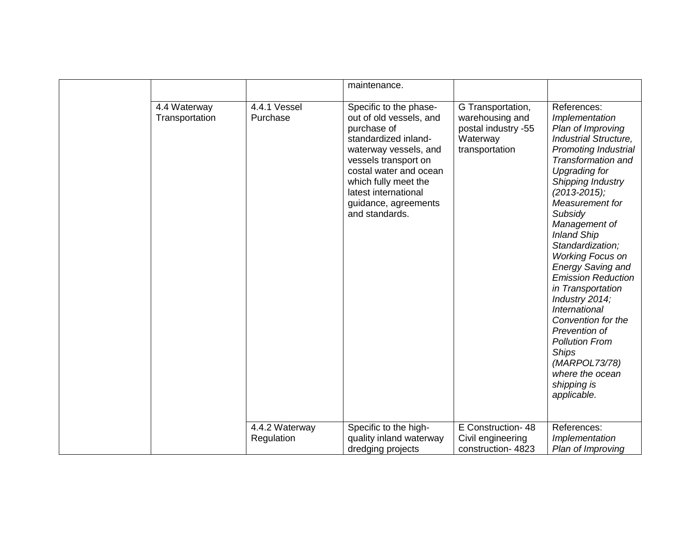|                                |                              | maintenance.                                                                                                                                                                                                                                                  |                                                                                           |                                                                                                                                                                                                                                                                                                                                                                                                                                                                                                                                                                                   |
|--------------------------------|------------------------------|---------------------------------------------------------------------------------------------------------------------------------------------------------------------------------------------------------------------------------------------------------------|-------------------------------------------------------------------------------------------|-----------------------------------------------------------------------------------------------------------------------------------------------------------------------------------------------------------------------------------------------------------------------------------------------------------------------------------------------------------------------------------------------------------------------------------------------------------------------------------------------------------------------------------------------------------------------------------|
| 4.4 Waterway<br>Transportation | 4.4.1 Vessel<br>Purchase     | Specific to the phase-<br>out of old vessels, and<br>purchase of<br>standardized inland-<br>waterway vessels, and<br>vessels transport on<br>costal water and ocean<br>which fully meet the<br>latest international<br>guidance, agreements<br>and standards. | G Transportation,<br>warehousing and<br>postal industry -55<br>Waterway<br>transportation | References:<br>Implementation<br>Plan of Improving<br>Industrial Structure,<br>Promoting Industrial<br>Transformation and<br><b>Upgrading for</b><br>Shipping Industry<br>$(2013 - 2015);$<br>Measurement for<br>Subsidy<br>Management of<br><b>Inland Ship</b><br>Standardization;<br><b>Working Focus on</b><br><b>Energy Saving and</b><br><b>Emission Reduction</b><br>in Transportation<br>Industry 2014;<br>International<br>Convention for the<br>Prevention of<br><b>Pollution From</b><br><b>Ships</b><br>(MARPOL73/78)<br>where the ocean<br>shipping is<br>applicable. |
|                                | 4.4.2 Waterway<br>Regulation | Specific to the high-<br>quality inland waterway<br>dredging projects                                                                                                                                                                                         | E Construction- 48<br>Civil engineering<br>construction-4823                              | References:<br>Implementation<br>Plan of Improving                                                                                                                                                                                                                                                                                                                                                                                                                                                                                                                                |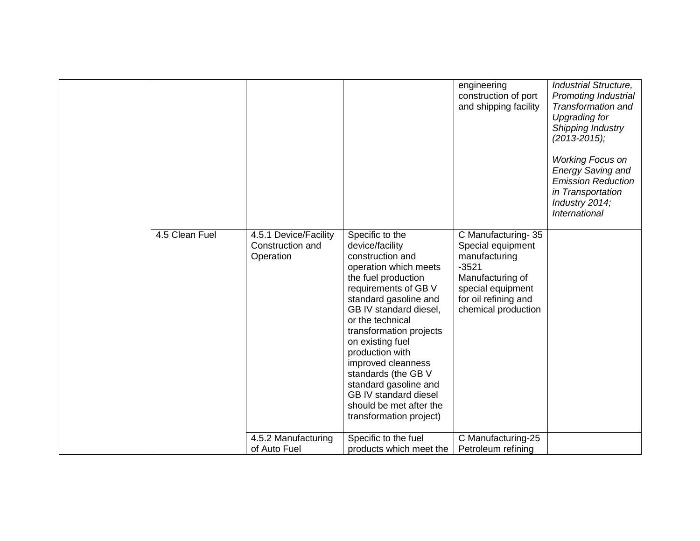|                |                                                        |                                                                                                                                                                                                                                                                                                                                                                                                                                     | engineering<br>construction of port<br>and shipping facility                                                                                                | Industrial Structure,<br><b>Promoting Industrial</b><br>Transformation and<br><b>Upgrading for</b><br>Shipping Industry<br>$(2013 - 2015)$ ;<br><b>Working Focus on</b><br><b>Energy Saving and</b><br><b>Emission Reduction</b><br>in Transportation<br>Industry 2014;<br>International |
|----------------|--------------------------------------------------------|-------------------------------------------------------------------------------------------------------------------------------------------------------------------------------------------------------------------------------------------------------------------------------------------------------------------------------------------------------------------------------------------------------------------------------------|-------------------------------------------------------------------------------------------------------------------------------------------------------------|------------------------------------------------------------------------------------------------------------------------------------------------------------------------------------------------------------------------------------------------------------------------------------------|
| 4.5 Clean Fuel | 4.5.1 Device/Facility<br>Construction and<br>Operation | Specific to the<br>device/facility<br>construction and<br>operation which meets<br>the fuel production<br>requirements of GB V<br>standard gasoline and<br>GB IV standard diesel,<br>or the technical<br>transformation projects<br>on existing fuel<br>production with<br>improved cleanness<br>standards (the GB V<br>standard gasoline and<br><b>GB IV standard diesel</b><br>should be met after the<br>transformation project) | C Manufacturing-35<br>Special equipment<br>manufacturing<br>$-3521$<br>Manufacturing of<br>special equipment<br>for oil refining and<br>chemical production |                                                                                                                                                                                                                                                                                          |
|                | 4.5.2 Manufacturing<br>of Auto Fuel                    | Specific to the fuel<br>products which meet the                                                                                                                                                                                                                                                                                                                                                                                     | C Manufacturing-25<br>Petroleum refining                                                                                                                    |                                                                                                                                                                                                                                                                                          |
|                |                                                        |                                                                                                                                                                                                                                                                                                                                                                                                                                     |                                                                                                                                                             |                                                                                                                                                                                                                                                                                          |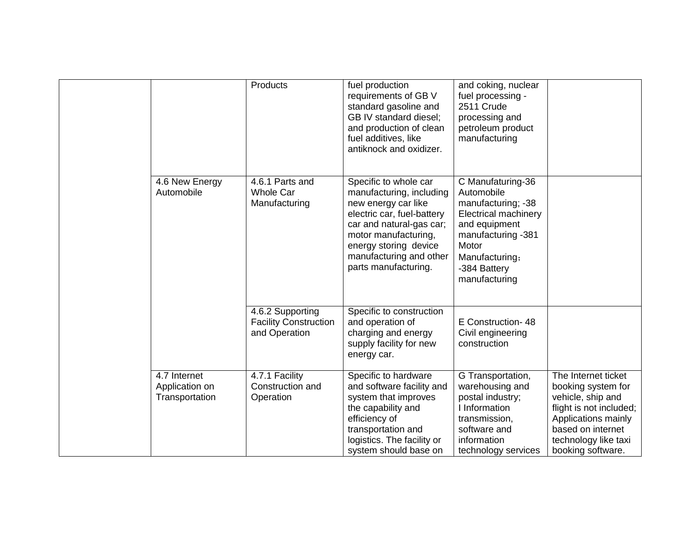|                                                  | Products                                                          | fuel production<br>requirements of GB V<br>standard gasoline and<br>GB IV standard diesel;<br>and production of clean<br>fuel additives, like<br>antiknock and oxidizer.                                                               | and coking, nuclear<br>fuel processing -<br>2511 Crude<br>processing and<br>petroleum product<br>manufacturing                                                                          |                                                                                                                                                                                    |
|--------------------------------------------------|-------------------------------------------------------------------|----------------------------------------------------------------------------------------------------------------------------------------------------------------------------------------------------------------------------------------|-----------------------------------------------------------------------------------------------------------------------------------------------------------------------------------------|------------------------------------------------------------------------------------------------------------------------------------------------------------------------------------|
| 4.6 New Energy<br>Automobile                     | 4.6.1 Parts and<br><b>Whole Car</b><br>Manufacturing              | Specific to whole car<br>manufacturing, including<br>new energy car like<br>electric car, fuel-battery<br>car and natural-gas car;<br>motor manufacturing,<br>energy storing device<br>manufacturing and other<br>parts manufacturing. | C Manufaturing-36<br>Automobile<br>manufacturing; -38<br><b>Electrical machinery</b><br>and equipment<br>manufacturing -381<br>Motor<br>Manufacturing;<br>-384 Battery<br>manufacturing |                                                                                                                                                                                    |
|                                                  | 4.6.2 Supporting<br><b>Facility Construction</b><br>and Operation | Specific to construction<br>and operation of<br>charging and energy<br>supply facility for new<br>energy car.                                                                                                                          | E Construction- 48<br>Civil engineering<br>construction                                                                                                                                 |                                                                                                                                                                                    |
| 4.7 Internet<br>Application on<br>Transportation | 4.7.1 Facility<br>Construction and<br>Operation                   | Specific to hardware<br>and software facility and<br>system that improves<br>the capability and<br>efficiency of<br>transportation and<br>logistics. The facility or<br>system should base on                                          | G Transportation,<br>warehousing and<br>postal industry;<br>I Information<br>transmission,<br>software and<br>information<br>technology services                                        | The Internet ticket<br>booking system for<br>vehicle, ship and<br>flight is not included;<br>Applications mainly<br>based on internet<br>technology like taxi<br>booking software. |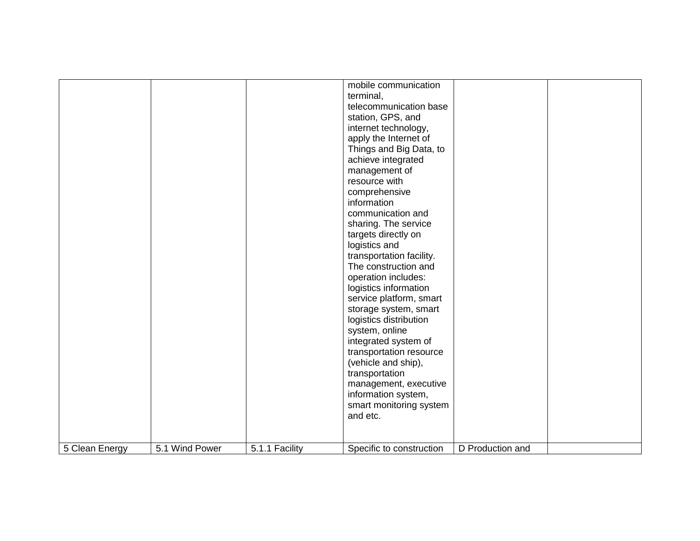|                |                |                | mobile communication<br>terminal,<br>telecommunication base<br>station, GPS, and<br>internet technology,<br>apply the Internet of<br>Things and Big Data, to<br>achieve integrated<br>management of<br>resource with<br>comprehensive<br>information<br>communication and<br>sharing. The service<br>targets directly on<br>logistics and<br>transportation facility.<br>The construction and<br>operation includes:<br>logistics information<br>service platform, smart<br>storage system, smart<br>logistics distribution<br>system, online<br>integrated system of<br>transportation resource<br>(vehicle and ship),<br>transportation |                  |  |
|----------------|----------------|----------------|-------------------------------------------------------------------------------------------------------------------------------------------------------------------------------------------------------------------------------------------------------------------------------------------------------------------------------------------------------------------------------------------------------------------------------------------------------------------------------------------------------------------------------------------------------------------------------------------------------------------------------------------|------------------|--|
|                |                |                |                                                                                                                                                                                                                                                                                                                                                                                                                                                                                                                                                                                                                                           |                  |  |
|                |                |                | management, executive<br>information system,<br>smart monitoring system<br>and etc.                                                                                                                                                                                                                                                                                                                                                                                                                                                                                                                                                       |                  |  |
| 5 Clean Energy | 5.1 Wind Power | 5.1.1 Facility | Specific to construction                                                                                                                                                                                                                                                                                                                                                                                                                                                                                                                                                                                                                  | D Production and |  |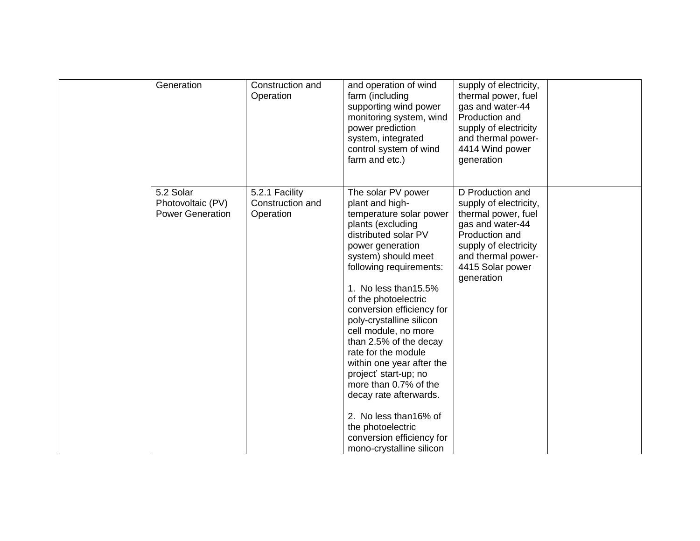| Generation                                                | Construction and<br>Operation                   | and operation of wind<br>farm (including<br>supporting wind power<br>monitoring system, wind<br>power prediction<br>system, integrated<br>control system of wind<br>farm and etc.)                                                                                                                                                                                                                                                                                                                                                                                                      | supply of electricity,<br>thermal power, fuel<br>gas and water-44<br>Production and<br>supply of electricity<br>and thermal power-<br>4414 Wind power<br>generation                      |  |
|-----------------------------------------------------------|-------------------------------------------------|-----------------------------------------------------------------------------------------------------------------------------------------------------------------------------------------------------------------------------------------------------------------------------------------------------------------------------------------------------------------------------------------------------------------------------------------------------------------------------------------------------------------------------------------------------------------------------------------|------------------------------------------------------------------------------------------------------------------------------------------------------------------------------------------|--|
| 5.2 Solar<br>Photovoltaic (PV)<br><b>Power Generation</b> | 5.2.1 Facility<br>Construction and<br>Operation | The solar PV power<br>plant and high-<br>temperature solar power<br>plants (excluding<br>distributed solar PV<br>power generation<br>system) should meet<br>following requirements:<br>1. No less than 15.5%<br>of the photoelectric<br>conversion efficiency for<br>poly-crystalline silicon<br>cell module, no more<br>than 2.5% of the decay<br>rate for the module<br>within one year after the<br>project' start-up; no<br>more than 0.7% of the<br>decay rate afterwards.<br>2. No less than 16% of<br>the photoelectric<br>conversion efficiency for<br>mono-crystalline silicon | D Production and<br>supply of electricity,<br>thermal power, fuel<br>gas and water-44<br>Production and<br>supply of electricity<br>and thermal power-<br>4415 Solar power<br>generation |  |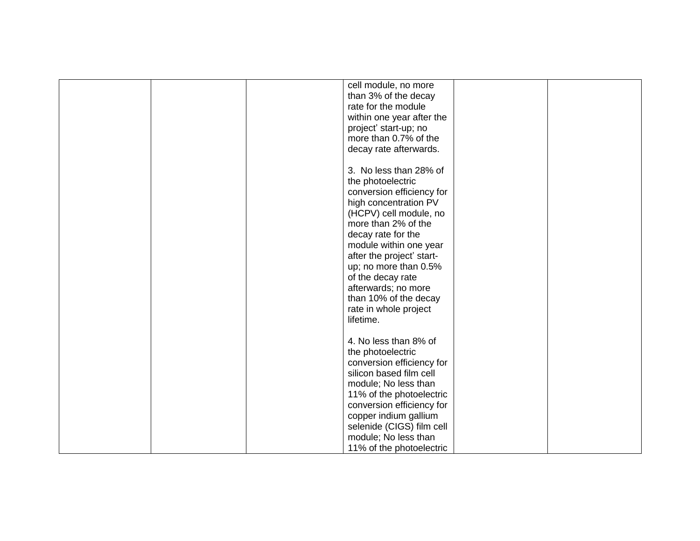|  | cell module, no more      |  |
|--|---------------------------|--|
|  | than 3% of the decay      |  |
|  | rate for the module       |  |
|  | within one year after the |  |
|  | project' start-up; no     |  |
|  | more than 0.7% of the     |  |
|  |                           |  |
|  | decay rate afterwards.    |  |
|  |                           |  |
|  | 3. No less than 28% of    |  |
|  | the photoelectric         |  |
|  | conversion efficiency for |  |
|  | high concentration PV     |  |
|  | (HCPV) cell module, no    |  |
|  | more than 2% of the       |  |
|  | decay rate for the        |  |
|  | module within one year    |  |
|  | after the project' start- |  |
|  | up; no more than 0.5%     |  |
|  | of the decay rate         |  |
|  | afterwards; no more       |  |
|  |                           |  |
|  | than 10% of the decay     |  |
|  | rate in whole project     |  |
|  | lifetime.                 |  |
|  |                           |  |
|  | 4. No less than 8% of     |  |
|  | the photoelectric         |  |
|  | conversion efficiency for |  |
|  | silicon based film cell   |  |
|  | module; No less than      |  |
|  | 11% of the photoelectric  |  |
|  | conversion efficiency for |  |
|  | copper indium gallium     |  |
|  | selenide (CIGS) film cell |  |
|  | module; No less than      |  |
|  | 11% of the photoelectric  |  |
|  |                           |  |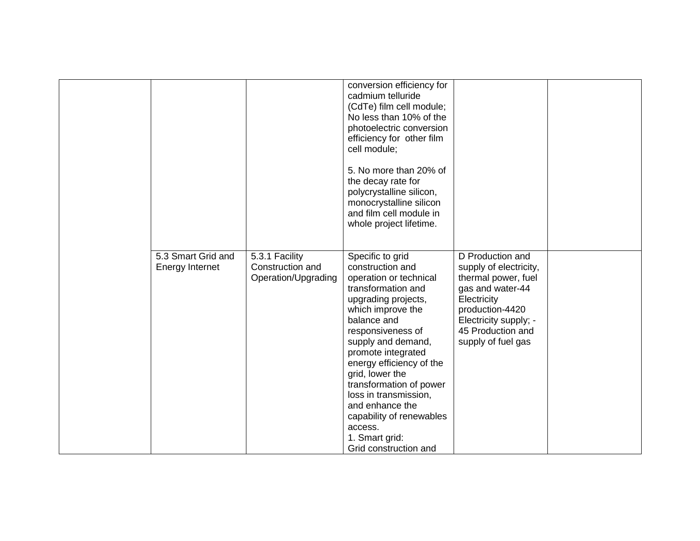|                                              |                                                           | conversion efficiency for<br>cadmium telluride<br>(CdTe) film cell module;<br>No less than 10% of the<br>photoelectric conversion<br>efficiency for other film<br>cell module;<br>5. No more than 20% of<br>the decay rate for<br>polycrystalline silicon,<br>monocrystalline silicon<br>and film cell module in<br>whole project lifetime.                                                                              |                                                                                                                                                                                             |  |
|----------------------------------------------|-----------------------------------------------------------|--------------------------------------------------------------------------------------------------------------------------------------------------------------------------------------------------------------------------------------------------------------------------------------------------------------------------------------------------------------------------------------------------------------------------|---------------------------------------------------------------------------------------------------------------------------------------------------------------------------------------------|--|
| 5.3 Smart Grid and<br><b>Energy Internet</b> | 5.3.1 Facility<br>Construction and<br>Operation/Upgrading | Specific to grid<br>construction and<br>operation or technical<br>transformation and<br>upgrading projects,<br>which improve the<br>balance and<br>responsiveness of<br>supply and demand,<br>promote integrated<br>energy efficiency of the<br>grid, lower the<br>transformation of power<br>loss in transmission,<br>and enhance the<br>capability of renewables<br>access.<br>1. Smart grid:<br>Grid construction and | D Production and<br>supply of electricity,<br>thermal power, fuel<br>gas and water-44<br>Electricity<br>production-4420<br>Electricity supply; -<br>45 Production and<br>supply of fuel gas |  |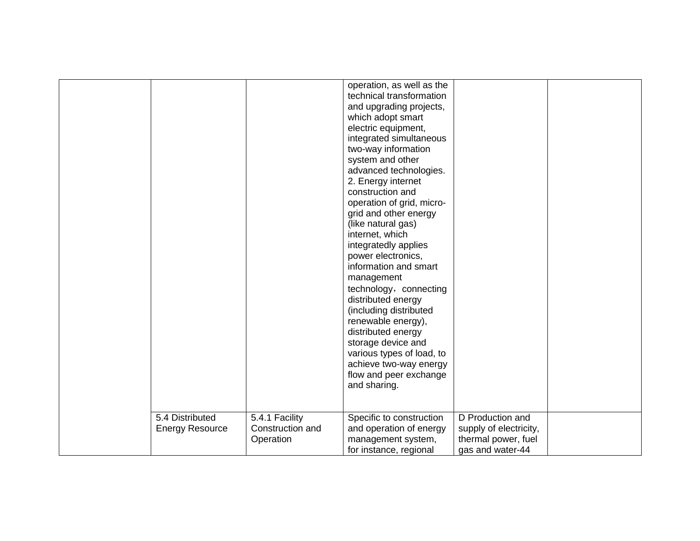|                        |                  | operation, as well as the |                        |  |
|------------------------|------------------|---------------------------|------------------------|--|
|                        |                  | technical transformation  |                        |  |
|                        |                  | and upgrading projects,   |                        |  |
|                        |                  | which adopt smart         |                        |  |
|                        |                  | electric equipment,       |                        |  |
|                        |                  | integrated simultaneous   |                        |  |
|                        |                  | two-way information       |                        |  |
|                        |                  | system and other          |                        |  |
|                        |                  | advanced technologies.    |                        |  |
|                        |                  | 2. Energy internet        |                        |  |
|                        |                  | construction and          |                        |  |
|                        |                  | operation of grid, micro- |                        |  |
|                        |                  | grid and other energy     |                        |  |
|                        |                  | (like natural gas)        |                        |  |
|                        |                  | internet, which           |                        |  |
|                        |                  | integratedly applies      |                        |  |
|                        |                  | power electronics,        |                        |  |
|                        |                  | information and smart     |                        |  |
|                        |                  | management                |                        |  |
|                        |                  | technology, connecting    |                        |  |
|                        |                  | distributed energy        |                        |  |
|                        |                  | (including distributed    |                        |  |
|                        |                  | renewable energy),        |                        |  |
|                        |                  | distributed energy        |                        |  |
|                        |                  | storage device and        |                        |  |
|                        |                  | various types of load, to |                        |  |
|                        |                  | achieve two-way energy    |                        |  |
|                        |                  | flow and peer exchange    |                        |  |
|                        |                  | and sharing.              |                        |  |
|                        |                  |                           |                        |  |
|                        |                  |                           |                        |  |
| 5.4 Distributed        | 5.4.1 Facility   | Specific to construction  | D Production and       |  |
| <b>Energy Resource</b> | Construction and | and operation of energy   | supply of electricity, |  |
|                        | Operation        | management system,        | thermal power, fuel    |  |
|                        |                  | for instance, regional    | gas and water-44       |  |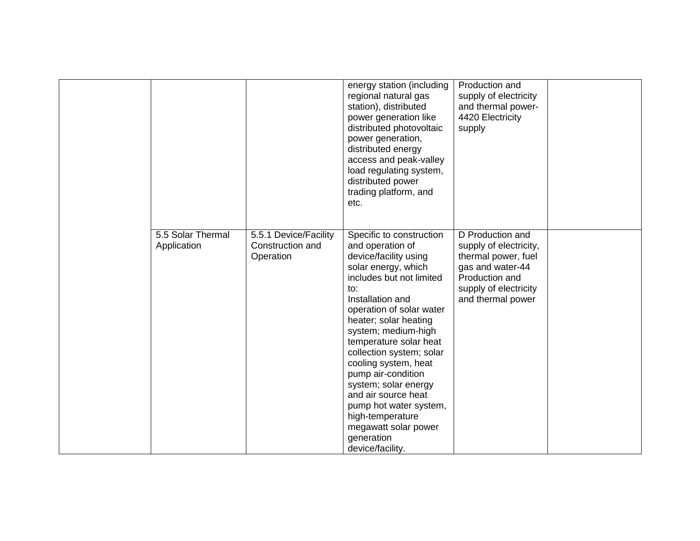|                                  |                                                        | energy station (including<br>regional natural gas<br>station), distributed<br>power generation like<br>distributed photovoltaic<br>power generation,<br>distributed energy<br>access and peak-valley<br>load regulating system,<br>distributed power<br>trading platform, and<br>etc.                                                                                                                                                                                                      | Production and<br>supply of electricity<br>and thermal power-<br>4420 Electricity<br>supply                                                           |  |
|----------------------------------|--------------------------------------------------------|--------------------------------------------------------------------------------------------------------------------------------------------------------------------------------------------------------------------------------------------------------------------------------------------------------------------------------------------------------------------------------------------------------------------------------------------------------------------------------------------|-------------------------------------------------------------------------------------------------------------------------------------------------------|--|
| 5.5 Solar Thermal<br>Application | 5.5.1 Device/Facility<br>Construction and<br>Operation | Specific to construction<br>and operation of<br>device/facility using<br>solar energy, which<br>includes but not limited<br>to:<br>Installation and<br>operation of solar water<br>heater; solar heating<br>system; medium-high<br>temperature solar heat<br>collection system; solar<br>cooling system, heat<br>pump air-condition<br>system; solar energy<br>and air source heat<br>pump hot water system,<br>high-temperature<br>megawatt solar power<br>generation<br>device/facility. | D Production and<br>supply of electricity,<br>thermal power, fuel<br>gas and water-44<br>Production and<br>supply of electricity<br>and thermal power |  |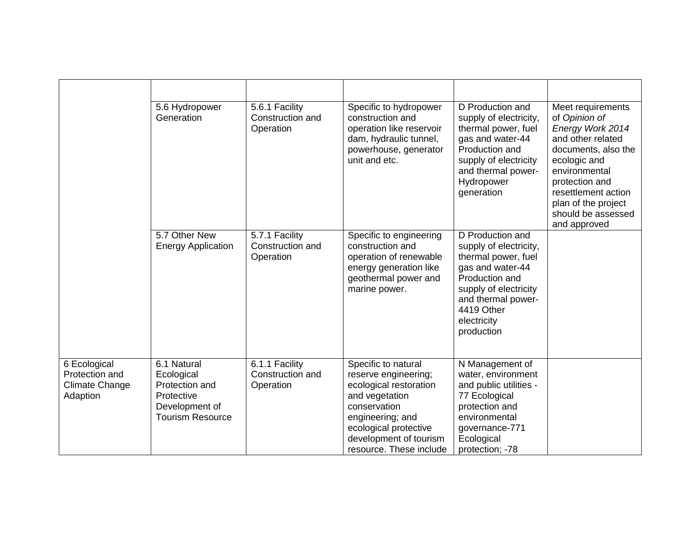|                                                                     | 5.6 Hydropower<br>Generation                                                                           | 5.6.1 Facility<br>Construction and<br>Operation | Specific to hydropower<br>construction and<br>operation like reservoir<br>dam, hydraulic tunnel,<br>powerhouse, generator<br>unit and etc.                                                                | D Production and<br>supply of electricity,<br>thermal power, fuel<br>gas and water-44<br>Production and<br>supply of electricity<br>and thermal power-<br>Hydropower<br>generation                | Meet requirements<br>of Opinion of<br>Energy Work 2014<br>and other related<br>documents, also the<br>ecologic and<br>environmental<br>protection and<br>resettlement action<br>plan of the project<br>should be assessed<br>and approved |
|---------------------------------------------------------------------|--------------------------------------------------------------------------------------------------------|-------------------------------------------------|-----------------------------------------------------------------------------------------------------------------------------------------------------------------------------------------------------------|---------------------------------------------------------------------------------------------------------------------------------------------------------------------------------------------------|-------------------------------------------------------------------------------------------------------------------------------------------------------------------------------------------------------------------------------------------|
|                                                                     | 5.7 Other New<br><b>Energy Application</b>                                                             | 5.7.1 Facility<br>Construction and<br>Operation | Specific to engineering<br>construction and<br>operation of renewable<br>energy generation like<br>geothermal power and<br>marine power.                                                                  | D Production and<br>supply of electricity,<br>thermal power, fuel<br>gas and water-44<br>Production and<br>supply of electricity<br>and thermal power-<br>4419 Other<br>electricity<br>production |                                                                                                                                                                                                                                           |
| 6 Ecological<br>Protection and<br><b>Climate Change</b><br>Adaption | 6.1 Natural<br>Ecological<br>Protection and<br>Protective<br>Development of<br><b>Tourism Resource</b> | 6.1.1 Facility<br>Construction and<br>Operation | Specific to natural<br>reserve engineering;<br>ecological restoration<br>and vegetation<br>conservation<br>engineering; and<br>ecological protective<br>development of tourism<br>resource. These include | N Management of<br>water, environment<br>and public utilities -<br>77 Ecological<br>protection and<br>environmental<br>governance-771<br>Ecological<br>protection; -78                            |                                                                                                                                                                                                                                           |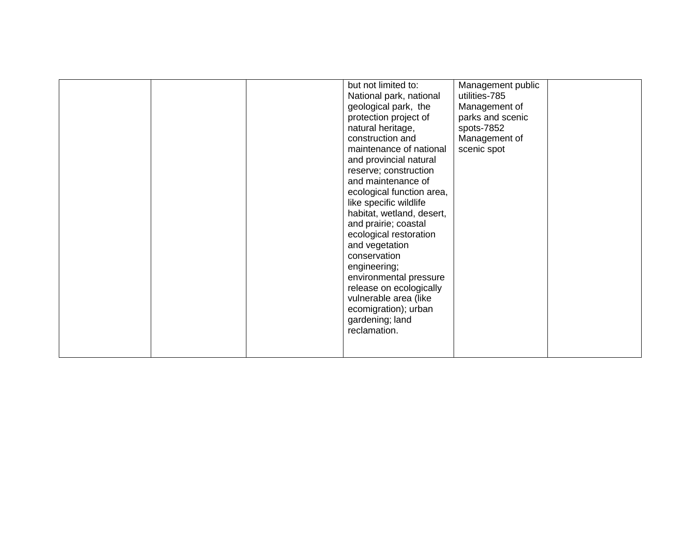|  |  |  | but not limited to:<br>National park, national<br>geological park, the<br>protection project of<br>natural heritage,<br>construction and<br>maintenance of national<br>and provincial natural<br>reserve; construction<br>and maintenance of<br>ecological function area,<br>like specific wildlife<br>habitat, wetland, desert,<br>and prairie; coastal<br>ecological restoration<br>and vegetation<br>conservation<br>engineering;<br>environmental pressure<br>release on ecologically<br>vulnerable area (like<br>ecomigration); urban<br>gardening; land<br>reclamation. | Management public<br>utilities-785<br>Management of<br>parks and scenic<br>spots-7852<br>Management of<br>scenic spot |  |
|--|--|--|-------------------------------------------------------------------------------------------------------------------------------------------------------------------------------------------------------------------------------------------------------------------------------------------------------------------------------------------------------------------------------------------------------------------------------------------------------------------------------------------------------------------------------------------------------------------------------|-----------------------------------------------------------------------------------------------------------------------|--|
|--|--|--|-------------------------------------------------------------------------------------------------------------------------------------------------------------------------------------------------------------------------------------------------------------------------------------------------------------------------------------------------------------------------------------------------------------------------------------------------------------------------------------------------------------------------------------------------------------------------------|-----------------------------------------------------------------------------------------------------------------------|--|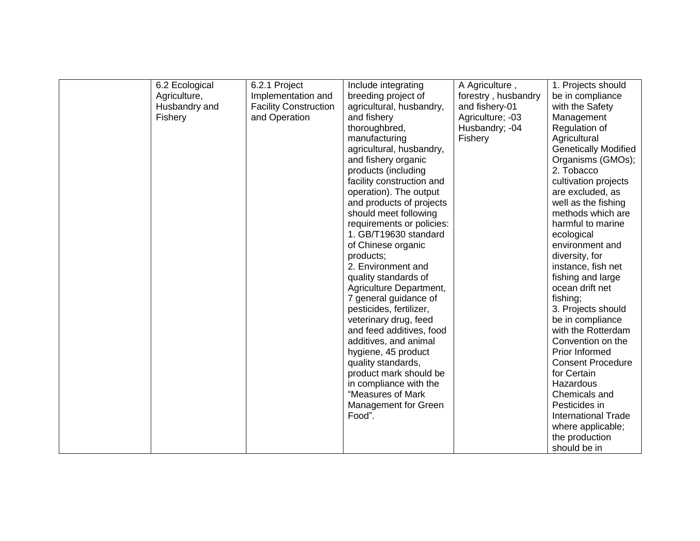| 6.2 Ecological | 6.2.1 Project                | Include integrating       | A Agriculture,      | 1. Projects should          |
|----------------|------------------------------|---------------------------|---------------------|-----------------------------|
| Agriculture,   | Implementation and           | breeding project of       | forestry, husbandry | be in compliance            |
| Husbandry and  | <b>Facility Construction</b> | agricultural, husbandry,  | and fishery-01      | with the Safety             |
| Fishery        | and Operation                | and fishery               | Agriculture; -03    | Management                  |
|                |                              | thoroughbred,             | Husbandry; -04      | Regulation of               |
|                |                              | manufacturing             | Fishery             | Agricultural                |
|                |                              | agricultural, husbandry,  |                     | <b>Genetically Modified</b> |
|                |                              | and fishery organic       |                     | Organisms (GMOs);           |
|                |                              | products (including       |                     | 2. Tobacco                  |
|                |                              | facility construction and |                     | cultivation projects        |
|                |                              | operation). The output    |                     | are excluded, as            |
|                |                              | and products of projects  |                     | well as the fishing         |
|                |                              | should meet following     |                     | methods which are           |
|                |                              | requirements or policies: |                     | harmful to marine           |
|                |                              | 1. GB/T19630 standard     |                     | ecological                  |
|                |                              | of Chinese organic        |                     | environment and             |
|                |                              | products;                 |                     | diversity, for              |
|                |                              | 2. Environment and        |                     | instance, fish net          |
|                |                              | quality standards of      |                     | fishing and large           |
|                |                              | Agriculture Department,   |                     | ocean drift net             |
|                |                              | 7 general guidance of     |                     | fishing;                    |
|                |                              | pesticides, fertilizer,   |                     | 3. Projects should          |
|                |                              | veterinary drug, feed     |                     | be in compliance            |
|                |                              | and feed additives, food  |                     | with the Rotterdam          |
|                |                              | additives, and animal     |                     | Convention on the           |
|                |                              | hygiene, 45 product       |                     | <b>Prior Informed</b>       |
|                |                              | quality standards,        |                     | <b>Consent Procedure</b>    |
|                |                              | product mark should be    |                     | for Certain                 |
|                |                              | in compliance with the    |                     | Hazardous                   |
|                |                              | "Measures of Mark         |                     | Chemicals and               |
|                |                              | Management for Green      |                     | Pesticides in               |
|                |                              | Food".                    |                     | <b>International Trade</b>  |
|                |                              |                           |                     | where applicable;           |
|                |                              |                           |                     | the production              |
|                |                              |                           |                     | should be in                |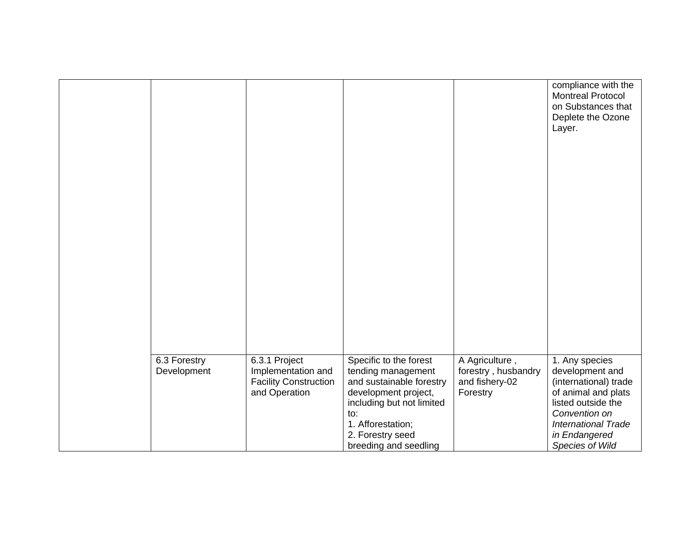|                             |                                                                                      |                                                                                                                                                                                                        |                                                                     | compliance with the<br><b>Montreal Protocol</b><br>on Substances that<br>Deplete the Ozone<br>Layer.                                                                                       |
|-----------------------------|--------------------------------------------------------------------------------------|--------------------------------------------------------------------------------------------------------------------------------------------------------------------------------------------------------|---------------------------------------------------------------------|--------------------------------------------------------------------------------------------------------------------------------------------------------------------------------------------|
|                             |                                                                                      |                                                                                                                                                                                                        |                                                                     |                                                                                                                                                                                            |
|                             |                                                                                      |                                                                                                                                                                                                        |                                                                     |                                                                                                                                                                                            |
|                             |                                                                                      |                                                                                                                                                                                                        |                                                                     |                                                                                                                                                                                            |
|                             |                                                                                      |                                                                                                                                                                                                        |                                                                     |                                                                                                                                                                                            |
| 6.3 Forestry<br>Development | 6.3.1 Project<br>Implementation and<br><b>Facility Construction</b><br>and Operation | Specific to the forest<br>tending management<br>and sustainable forestry<br>development project,<br>including but not limited<br>to:<br>1. Afforestation;<br>2. Forestry seed<br>breeding and seedling | A Agriculture,<br>forestry, husbandry<br>and fishery-02<br>Forestry | 1. Any species<br>development and<br>(international) trade<br>of animal and plats<br>listed outside the<br>Convention on<br><b>International Trade</b><br>in Endangered<br>Species of Wild |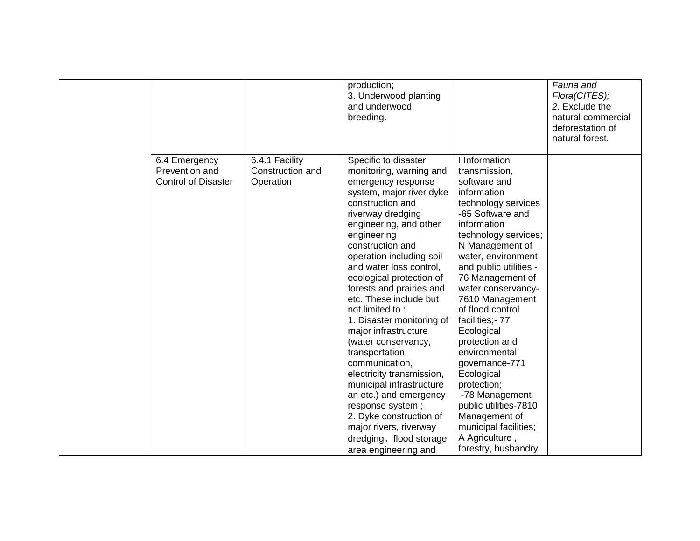|                                                               |                                                 | production;<br>3. Underwood planting<br>and underwood<br>breeding.                                                                                                                                                                                                                                                                                                                                                                                                                                                                                                                                                                                                                                  |                                                                                                                                                                                                                                                                                                                                                                                                                                                                                                                                                      | Fauna and<br>Flora(CITES);<br>2. Exclude the<br>natural commercial<br>deforestation of<br>natural forest. |
|---------------------------------------------------------------|-------------------------------------------------|-----------------------------------------------------------------------------------------------------------------------------------------------------------------------------------------------------------------------------------------------------------------------------------------------------------------------------------------------------------------------------------------------------------------------------------------------------------------------------------------------------------------------------------------------------------------------------------------------------------------------------------------------------------------------------------------------------|------------------------------------------------------------------------------------------------------------------------------------------------------------------------------------------------------------------------------------------------------------------------------------------------------------------------------------------------------------------------------------------------------------------------------------------------------------------------------------------------------------------------------------------------------|-----------------------------------------------------------------------------------------------------------|
| 6.4 Emergency<br>Prevention and<br><b>Control of Disaster</b> | 6.4.1 Facility<br>Construction and<br>Operation | Specific to disaster<br>monitoring, warning and<br>emergency response<br>system, major river dyke<br>construction and<br>riverway dredging<br>engineering, and other<br>engineering<br>construction and<br>operation including soil<br>and water loss control,<br>ecological protection of<br>forests and prairies and<br>etc. These include but<br>not limited to:<br>1. Disaster monitoring of<br>major infrastructure<br>(water conservancy,<br>transportation,<br>communication,<br>electricity transmission,<br>municipal infrastructure<br>an etc.) and emergency<br>response system;<br>2. Dyke construction of<br>major rivers, riverway<br>dredging, flood storage<br>area engineering and | I Information<br>transmission,<br>software and<br>information<br>technology services<br>-65 Software and<br>information<br>technology services;<br>N Management of<br>water, environment<br>and public utilities -<br>76 Management of<br>water conservancy-<br>7610 Management<br>of flood control<br>facilities;- 77<br>Ecological<br>protection and<br>environmental<br>governance-771<br>Ecological<br>protection;<br>-78 Management<br>public utilities-7810<br>Management of<br>municipal facilities;<br>A Agriculture,<br>forestry, husbandry |                                                                                                           |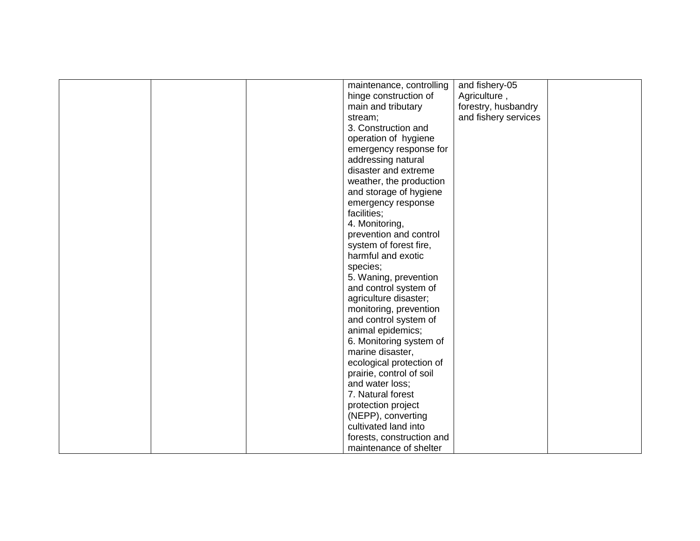|  | maintenance, controlling  | and fishery-05       |  |
|--|---------------------------|----------------------|--|
|  | hinge construction of     | Agriculture,         |  |
|  | main and tributary        | forestry, husbandry  |  |
|  | stream;                   | and fishery services |  |
|  | 3. Construction and       |                      |  |
|  | operation of hygiene      |                      |  |
|  | emergency response for    |                      |  |
|  | addressing natural        |                      |  |
|  | disaster and extreme      |                      |  |
|  | weather, the production   |                      |  |
|  | and storage of hygiene    |                      |  |
|  | emergency response        |                      |  |
|  | facilities;               |                      |  |
|  | 4. Monitoring,            |                      |  |
|  | prevention and control    |                      |  |
|  | system of forest fire,    |                      |  |
|  | harmful and exotic        |                      |  |
|  | species;                  |                      |  |
|  | 5. Waning, prevention     |                      |  |
|  | and control system of     |                      |  |
|  | agriculture disaster;     |                      |  |
|  | monitoring, prevention    |                      |  |
|  | and control system of     |                      |  |
|  | animal epidemics;         |                      |  |
|  | 6. Monitoring system of   |                      |  |
|  | marine disaster,          |                      |  |
|  | ecological protection of  |                      |  |
|  | prairie, control of soil  |                      |  |
|  | and water loss;           |                      |  |
|  | 7. Natural forest         |                      |  |
|  | protection project        |                      |  |
|  | (NEPP), converting        |                      |  |
|  | cultivated land into      |                      |  |
|  | forests, construction and |                      |  |
|  | maintenance of shelter    |                      |  |